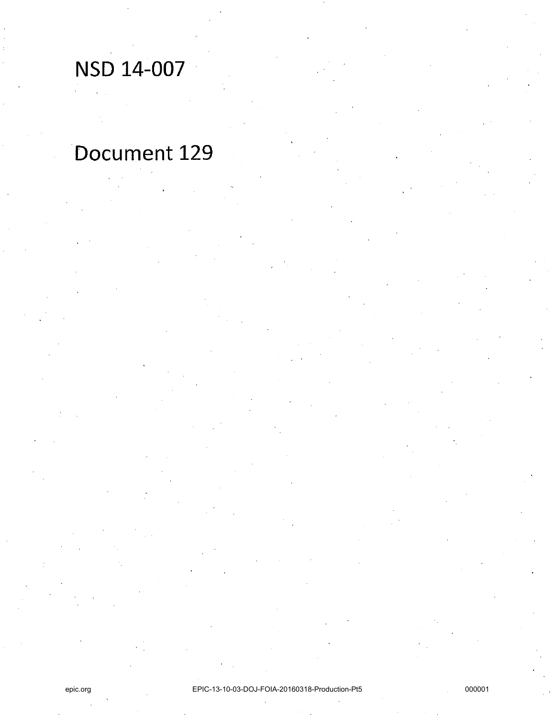# NSD 14-007 .

## Document 129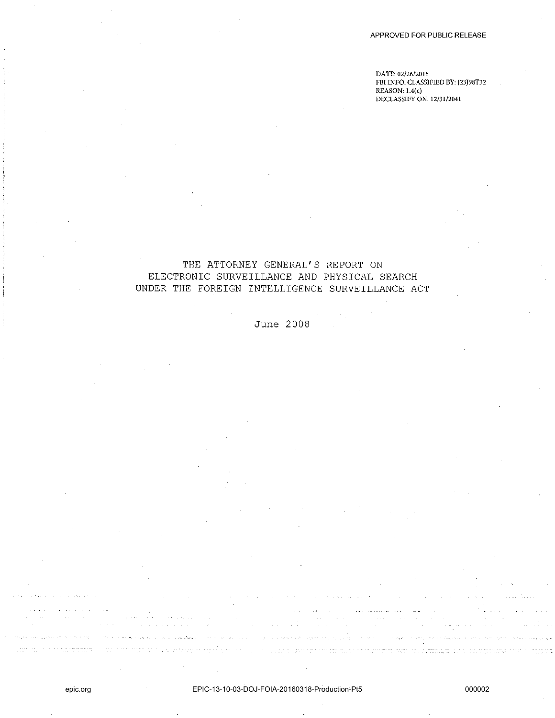**DATE: 02/26/2016 FBI INFO. CLASSIFIED BY: J23J98T32**   $REASON:1.4(c)$ **DECLASSIFY ON; 12/31/2041** 

#### THE ATTORNEY GENERAL'S REPORT ON ELECTRONIC SURVEILLANCE AND PHYSICAL SEARCH UNDER THE FOREIGN INTELLIGENCE SURVEILLANCE ACT

### June 2008

 $\tau_{\rm c} \rightarrow -\tau_{\rm b}$  ,  $\tau_{\rm c} \rightarrow \tau_{\rm d}$ 

 $\label{eq:3} \begin{array}{ll} \mathcal{L}_{\text{max}}(\mathcal{L}_{\text{max}}) & \mathcal{L}_{\text{max}}(\mathcal{L}_{\text{max}}) & \mathcal{L}_{\text{max}}(\mathcal{L}_{\text{max}}) \\ \mathcal{L}_{\text{max}}(\mathcal{L}_{\text{max}}) & \mathcal{L}_{\text{max}}(\mathcal{L}_{\text{max}}) & \mathcal{L}_{\text{max}}(\mathcal{L}_{\text{max}}) \end{array}$ 

بداريد الدوا

mage a park out

and an income

المتعقب والمتحدث وأوال والمتحدث

 $\sim$   $\sim$   $\sim$   $\mu_{\rm{eff}}$   $\mu$ 

a sa mga kalawang mga magalang sa mga kalawang ng mga kalawang sa kalawang sa mga kalawang kalawang sa mga kal<br>May may kalawang sa mga kalawang sa kalawang sa mga pagpagalang ng mga kalawang ng kalawang sa mga kalawang sa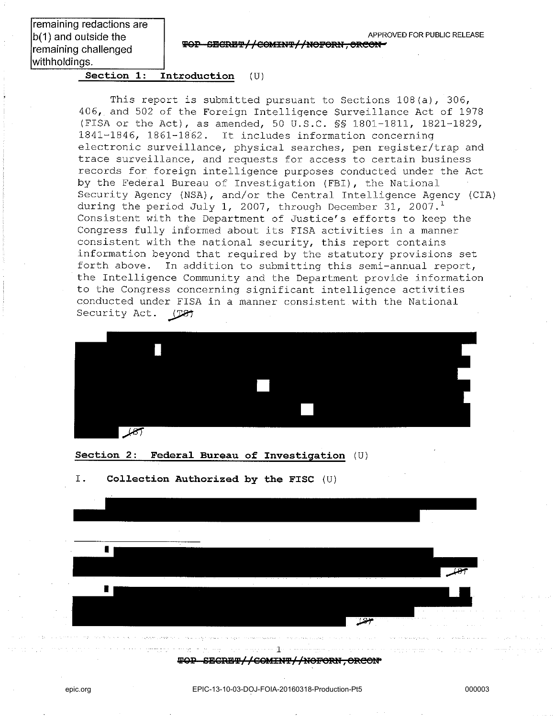remaining redactions are b(1) and outside the remaining challenged withholdings.

**TOP SECRET//COMINT//NOFORN, ORCON-**

**Section 1: Introduction** (U)

This report is submitted pursuant to Sections 108(a), 306, 406, and 502 of the Foreign Intelligence Surveillance Act of 1978 (FISA or the Act), as amended, 50 U.S.C. §§ 1801-1811, 1821-1829, 1841-1846, 1861-1862. It includes information concerning electronic surveillance, physical searches, pen register/trap and trace surveillance, and requests for access to certain business records for foreign intelligence purposes conducted under the Act by the Federal Bureau of Investigation (FBI), the National Security Agency (NSA) , and/or the Central Intelligence Agency (CIA) during the period July 1, 2007, through December 31, 2007.<sup>1</sup> Consistent with the Department of Justice's efforts to keep the Congress fully informed about its FISA activities in a manner consistent with the national security, this report contains information beyond that required by the statutory provisions set forth above. In addition to submitting this semi-annual report, the Intelligence Community and the Department provide information to the Congress concerning significant intelligence activities conducted under FISA in a manner consistent with the National<br>Security Act. (T&)



**Section 2: Federal Bureau of Investigation** (U)

I. **Collection Authorized by the FISC** (U)



**WOP SECRET//COMINT//NOFORN, ORCON\***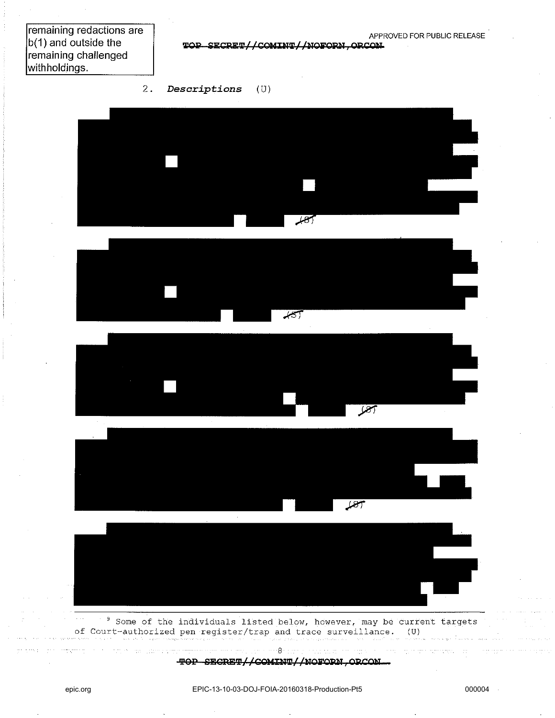remaining redactions are b(1) and outside the remaining challenged with holdings.

 $\texttt{TOP}-\texttt{SECTION}/\text{/NOFORN}, \texttt{ORCOM}$ 

2. *Descriptions* (U)











 $9$  Some of the individuals listed below, however, may be current targets of Court-authorized pen register/trap and trace surveillance. (U)

> 8 **TOP SECRET//COMINT//NOFORN, ORCON-**

and the company of the company of the company of the company of the company of the company of the company of the company of the company of the company of the company of the company of the company of the company of the comp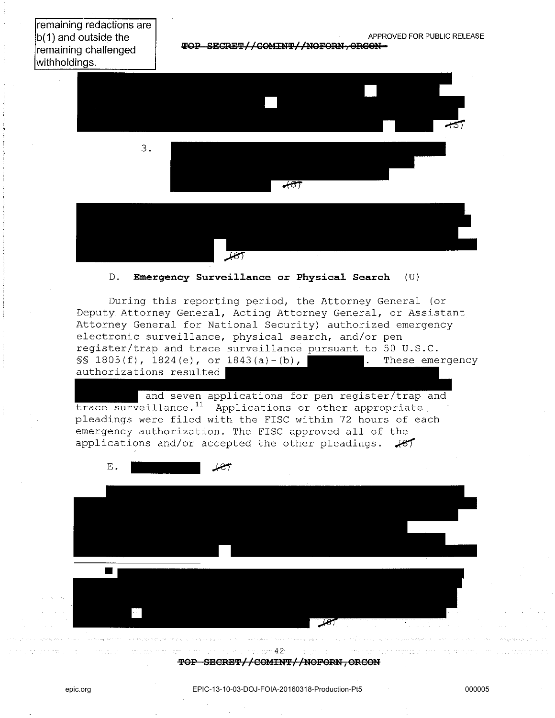remaining redactions are b(1) and outside the remaining challenged withholdings.

 $\textcolor{red}{\textbf{\texttt{TOP-SECRFT}}\textcolor{red}{//}\textbf{COMINT}\textcolor{red}{//}\textbf{NOFORN}\textcolor{red}{//}\textbf{ORGON}}$ 



#### D. **Emergency Survei11ance or Physica1 Search** (U)

During this reporting period, the Attorney General (or Deputy Attorney General, Acting Attorney General, or Assistant Attorney General for National Security) authorized emergency electronic surveillance, physical search, and/or pen register/trap and trace surveillance pursuant to 50 U.S.C.  $\S$ S 1805(f), 1824(e), or 1843(a)-(b), . These emergency authorizations resulted

and seven applications for pen register/trap and trace surveillance.<sup>11</sup> Applications or other appropriate pleadings were filed with the FISC within 72 hours of each emergency authorization. The FISC approved all of the applications and/or accepted the other pleadings.  $\sqrt{81}$ 



42 TOP SECRET//COMINT//NOFORN, ORCON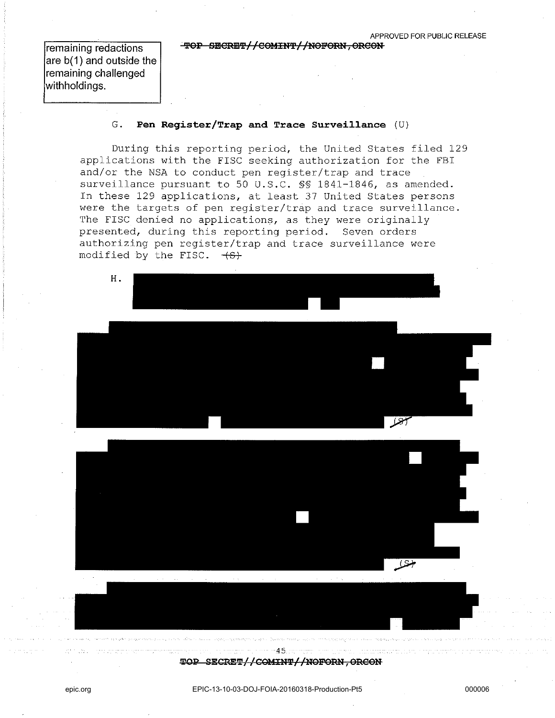**TOP SECRET//COMINT//NOFORN, ORCON** 

remaining redactions are b(1) and outside the remaining challenged withholdings.

#### G. **Pen Register/Trap and Trace Surveillance** (U)

During this reporting period, the United States filed 129 applications with the FISC seeking authorization for the FBI and/or the NSA to conduct pen register/trap and trace surveillance pursuant to 50 U.S.C. §§ 1841-1846, as amended. In these 129 applications, at least 37 United States persons were the targets of pen register/trap and trace surveillance. The FISC denied no applications, as they were originally presented, during this reporting period. Seven orders authorizing pen register/trap and trace surveillance were modified by the FISC.  $+S$ .



**TOP SECRET//COMINT//NOFORN, ORCON**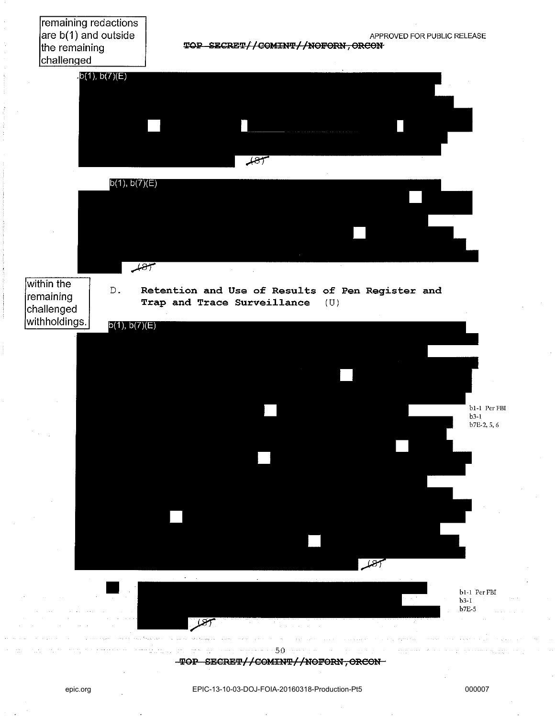remaining redactions are b(1) and outside the remaining challenqed

 $TOP$  **SECRET//COMINT//NOFORN, ORCON**